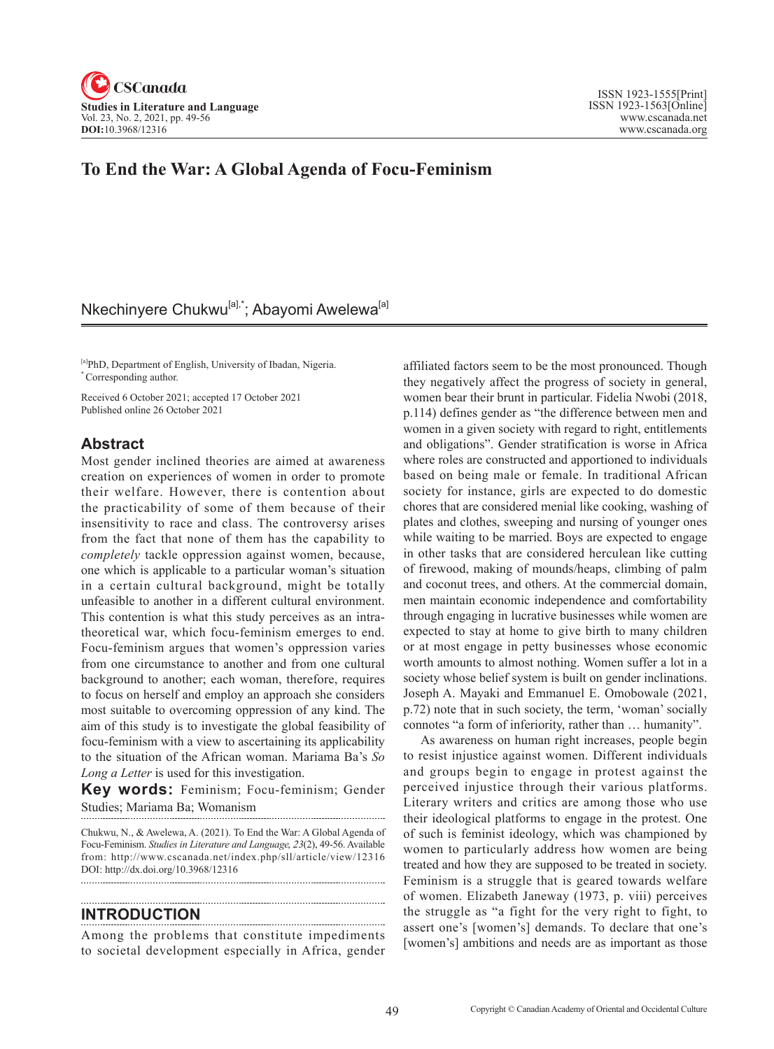

## **To End the War: A Global Agenda of Focu-Feminism**

# Nkechinyere Chukwu<sup>[a],\*</sup>; Abayomi Awelewa<sup>[a]</sup>

[a]PhD, Department of English, University of Ibadan, Nigeria. \* Corresponding author.

Received 6 October 2021; accepted 17 October 2021 Published online 26 October 2021

#### **Abstract**

Most gender inclined theories are aimed at awareness creation on experiences of women in order to promote their welfare. However, there is contention about the practicability of some of them because of their insensitivity to race and class. The controversy arises from the fact that none of them has the capability to *completely* tackle oppression against women, because, one which is applicable to a particular woman's situation in a certain cultural background, might be totally unfeasible to another in a different cultural environment. This contention is what this study perceives as an intratheoretical war, which focu-feminism emerges to end. Focu-feminism argues that women's oppression varies from one circumstance to another and from one cultural background to another; each woman, therefore, requires to focus on herself and employ an approach she considers most suitable to overcoming oppression of any kind. The aim of this study is to investigate the global feasibility of focu-feminism with a view to ascertaining its applicability to the situation of the African woman. Mariama Ba's *So Long a Letter* is used for this investigation.

**Key words:** Feminism; Focu-feminism; Gender Studies; Mariama Ba; Womanism

Chukwu, N., & Awelewa, A. (2021). To End the War: A Global Agenda of Focu-Feminism. *Studies in Literature and Language*, 2*3*(2), 49-56. Available from: http://www.cscanada.net/index.php/sll/article/view/12316 DOI: http://dx.doi.org/10.3968/12316 

#### **INTRODUCTION**

Among the problems that constitute impediments to societal development especially in Africa, gender affiliated factors seem to be the most pronounced. Though they negatively affect the progress of society in general, women bear their brunt in particular. Fidelia Nwobi (2018, p.114) defines gender as "the difference between men and women in a given society with regard to right, entitlements and obligations". Gender stratification is worse in Africa where roles are constructed and apportioned to individuals based on being male or female. In traditional African society for instance, girls are expected to do domestic chores that are considered menial like cooking, washing of plates and clothes, sweeping and nursing of younger ones while waiting to be married. Boys are expected to engage in other tasks that are considered herculean like cutting of firewood, making of mounds/heaps, climbing of palm and coconut trees, and others. At the commercial domain, men maintain economic independence and comfortability through engaging in lucrative businesses while women are expected to stay at home to give birth to many children or at most engage in petty businesses whose economic worth amounts to almost nothing. Women suffer a lot in a society whose belief system is built on gender inclinations. Joseph A. Mayaki and Emmanuel E. Omobowale (2021, p.72) note that in such society, the term, 'woman' socially connotes "a form of inferiority, rather than … humanity".

As awareness on human right increases, people begin to resist injustice against women. Different individuals and groups begin to engage in protest against the perceived injustice through their various platforms. Literary writers and critics are among those who use their ideological platforms to engage in the protest. One of such is feminist ideology, which was championed by women to particularly address how women are being treated and how they are supposed to be treated in society. Feminism is a struggle that is geared towards welfare of women. Elizabeth Janeway (1973, p. viii) perceives the struggle as "a fight for the very right to fight, to assert one's [women's] demands. To declare that one's [women's] ambitions and needs are as important as those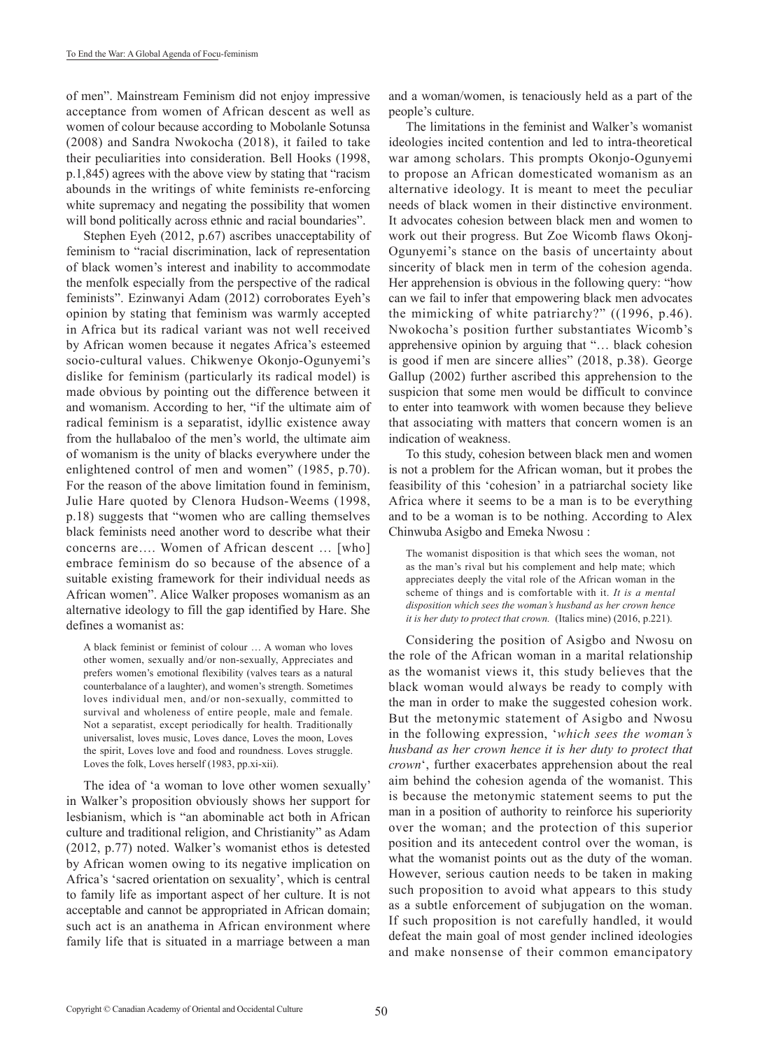of men". Mainstream Feminism did not enjoy impressive acceptance from women of African descent as well as women of colour because according to Mobolanle Sotunsa (2008) and Sandra Nwokocha (2018), it failed to take their peculiarities into consideration. Bell Hooks (1998, p.1,845) agrees with the above view by stating that "racism abounds in the writings of white feminists re-enforcing white supremacy and negating the possibility that women will bond politically across ethnic and racial boundaries".

Stephen Eyeh (2012, p.67) ascribes unacceptability of feminism to "racial discrimination, lack of representation of black women's interest and inability to accommodate the menfolk especially from the perspective of the radical feminists". Ezinwanyi Adam (2012) corroborates Eyeh's opinion by stating that feminism was warmly accepted in Africa but its radical variant was not well received by African women because it negates Africa's esteemed socio-cultural values. Chikwenye Okonjo-Ogunyemi's dislike for feminism (particularly its radical model) is made obvious by pointing out the difference between it and womanism. According to her, "if the ultimate aim of radical feminism is a separatist, idyllic existence away from the hullabaloo of the men's world, the ultimate aim of womanism is the unity of blacks everywhere under the enlightened control of men and women" (1985, p.70). For the reason of the above limitation found in feminism, Julie Hare quoted by Clenora Hudson-Weems (1998, p.18) suggests that "women who are calling themselves black feminists need another word to describe what their concerns are…. Women of African descent … [who] embrace feminism do so because of the absence of a suitable existing framework for their individual needs as African women". Alice Walker proposes womanism as an alternative ideology to fill the gap identified by Hare. She defines a womanist as:

A black feminist or feminist of colour … A woman who loves other women, sexually and/or non-sexually, Appreciates and prefers women's emotional flexibility (valves tears as a natural counterbalance of a laughter), and women's strength. Sometimes loves individual men, and/or non-sexually, committed to survival and wholeness of entire people, male and female. Not a separatist, except periodically for health. Traditionally universalist, loves music, Loves dance, Loves the moon, Loves the spirit, Loves love and food and roundness. Loves struggle. Loves the folk, Loves herself (1983, pp.xi-xii).

The idea of 'a woman to love other women sexually' in Walker's proposition obviously shows her support for lesbianism, which is "an abominable act both in African culture and traditional religion, and Christianity" as Adam (2012, p.77) noted. Walker's womanist ethos is detested by African women owing to its negative implication on Africa's 'sacred orientation on sexuality', which is central to family life as important aspect of her culture. It is not acceptable and cannot be appropriated in African domain; such act is an anathema in African environment where family life that is situated in a marriage between a man and a woman/women, is tenaciously held as a part of the people's culture.

The limitations in the feminist and Walker's womanist ideologies incited contention and led to intra-theoretical war among scholars. This prompts Okonjo-Ogunyemi to propose an African domesticated womanism as an alternative ideology. It is meant to meet the peculiar needs of black women in their distinctive environment. It advocates cohesion between black men and women to work out their progress. But Zoe Wicomb flaws Okonj-Ogunyemi's stance on the basis of uncertainty about sincerity of black men in term of the cohesion agenda. Her apprehension is obvious in the following query: "how can we fail to infer that empowering black men advocates the mimicking of white patriarchy?" ((1996, p.46). Nwokocha's position further substantiates Wicomb's apprehensive opinion by arguing that "… black cohesion is good if men are sincere allies" (2018, p.38). George Gallup (2002) further ascribed this apprehension to the suspicion that some men would be difficult to convince to enter into teamwork with women because they believe that associating with matters that concern women is an indication of weakness.

To this study, cohesion between black men and women is not a problem for the African woman, but it probes the feasibility of this 'cohesion' in a patriarchal society like Africa where it seems to be a man is to be everything and to be a woman is to be nothing. According to Alex Chinwuba Asigbo and Emeka Nwosu :

The womanist disposition is that which sees the woman, not as the man's rival but his complement and help mate; which appreciates deeply the vital role of the African woman in the scheme of things and is comfortable with it. *It is a mental disposition which sees the woman's husband as her crown hence it is her duty to protect that crown.* (Italics mine) (2016, p.221).

Considering the position of Asigbo and Nwosu on the role of the African woman in a marital relationship as the womanist views it, this study believes that the black woman would always be ready to comply with the man in order to make the suggested cohesion work. But the metonymic statement of Asigbo and Nwosu in the following expression, '*which sees the woman's husband as her crown hence it is her duty to protect that crown*', further exacerbates apprehension about the real aim behind the cohesion agenda of the womanist. This is because the metonymic statement seems to put the man in a position of authority to reinforce his superiority over the woman; and the protection of this superior position and its antecedent control over the woman, is what the womanist points out as the duty of the woman. However, serious caution needs to be taken in making such proposition to avoid what appears to this study as a subtle enforcement of subjugation on the woman. If such proposition is not carefully handled, it would defeat the main goal of most gender inclined ideologies and make nonsense of their common emancipatory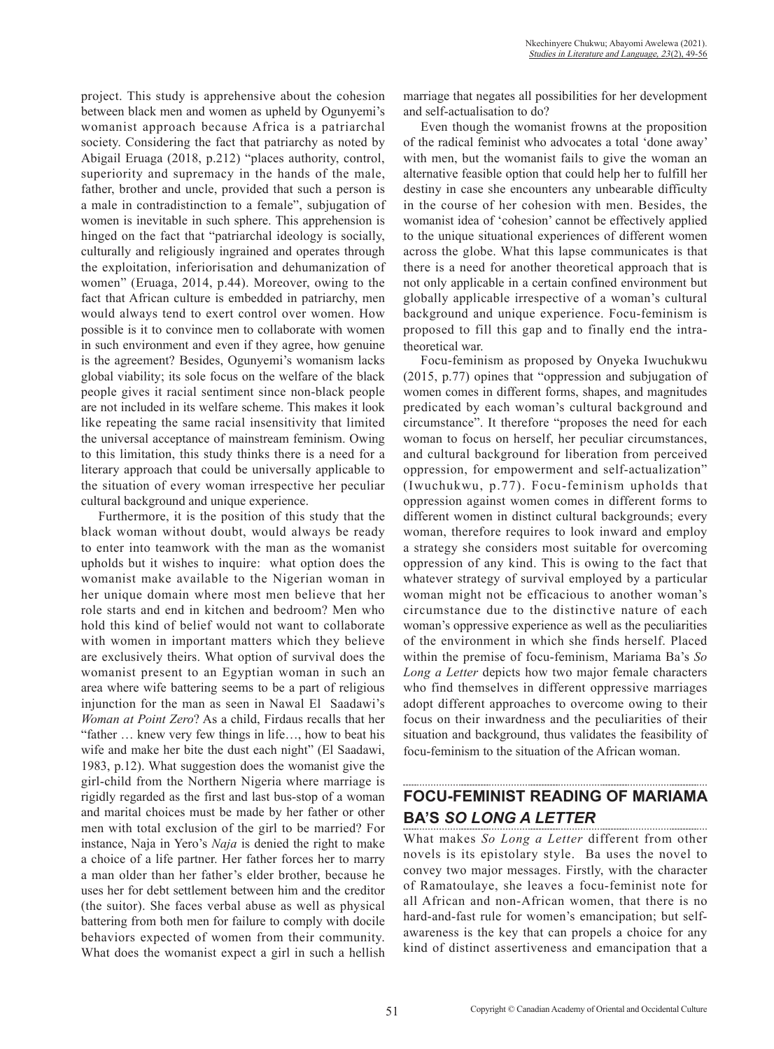project. This study is apprehensive about the cohesion between black men and women as upheld by Ogunyemi's womanist approach because Africa is a patriarchal society. Considering the fact that patriarchy as noted by Abigail Eruaga (2018, p.212) "places authority, control, superiority and supremacy in the hands of the male, father, brother and uncle, provided that such a person is a male in contradistinction to a female", subjugation of women is inevitable in such sphere. This apprehension is hinged on the fact that "patriarchal ideology is socially, culturally and religiously ingrained and operates through the exploitation, inferiorisation and dehumanization of women" (Eruaga, 2014, p.44). Moreover, owing to the fact that African culture is embedded in patriarchy, men would always tend to exert control over women. How possible is it to convince men to collaborate with women in such environment and even if they agree, how genuine is the agreement? Besides, Ogunyemi's womanism lacks global viability; its sole focus on the welfare of the black people gives it racial sentiment since non-black people are not included in its welfare scheme. This makes it look like repeating the same racial insensitivity that limited the universal acceptance of mainstream feminism. Owing to this limitation, this study thinks there is a need for a literary approach that could be universally applicable to the situation of every woman irrespective her peculiar cultural background and unique experience.

Furthermore, it is the position of this study that the black woman without doubt, would always be ready to enter into teamwork with the man as the womanist upholds but it wishes to inquire: what option does the womanist make available to the Nigerian woman in her unique domain where most men believe that her role starts and end in kitchen and bedroom? Men who hold this kind of belief would not want to collaborate with women in important matters which they believe are exclusively theirs. What option of survival does the womanist present to an Egyptian woman in such an area where wife battering seems to be a part of religious injunction for the man as seen in Nawal El Saadawi's *Woman at Point Zero*? As a child, Firdaus recalls that her "father … knew very few things in life…, how to beat his wife and make her bite the dust each night" (El Saadawi, 1983, p.12). What suggestion does the womanist give the girl-child from the Northern Nigeria where marriage is rigidly regarded as the first and last bus-stop of a woman and marital choices must be made by her father or other men with total exclusion of the girl to be married? For instance, Naja in Yero's *Naja* is denied the right to make a choice of a life partner. Her father forces her to marry a man older than her father's elder brother, because he uses her for debt settlement between him and the creditor (the suitor). She faces verbal abuse as well as physical battering from both men for failure to comply with docile behaviors expected of women from their community. What does the womanist expect a girl in such a hellish marriage that negates all possibilities for her development and self-actualisation to do?

Even though the womanist frowns at the proposition of the radical feminist who advocates a total 'done away' with men, but the womanist fails to give the woman an alternative feasible option that could help her to fulfill her destiny in case she encounters any unbearable difficulty in the course of her cohesion with men. Besides, the womanist idea of 'cohesion' cannot be effectively applied to the unique situational experiences of different women across the globe. What this lapse communicates is that there is a need for another theoretical approach that is not only applicable in a certain confined environment but globally applicable irrespective of a woman's cultural background and unique experience. Focu-feminism is proposed to fill this gap and to finally end the intratheoretical war.

Focu-feminism as proposed by Onyeka Iwuchukwu (2015, p.77) opines that "oppression and subjugation of women comes in different forms, shapes, and magnitudes predicated by each woman's cultural background and circumstance". It therefore "proposes the need for each woman to focus on herself, her peculiar circumstances, and cultural background for liberation from perceived oppression, for empowerment and self-actualization" (Iwuchukwu, p.77). Focu-feminism upholds that oppression against women comes in different forms to different women in distinct cultural backgrounds; every woman, therefore requires to look inward and employ a strategy she considers most suitable for overcoming oppression of any kind. This is owing to the fact that whatever strategy of survival employed by a particular woman might not be efficacious to another woman's circumstance due to the distinctive nature of each woman's oppressive experience as well as the peculiarities of the environment in which she finds herself. Placed within the premise of focu-feminism, Mariama Ba's *So Long a Letter* depicts how two major female characters who find themselves in different oppressive marriages adopt different approaches to overcome owing to their focus on their inwardness and the peculiarities of their situation and background, thus validates the feasibility of focu-feminism to the situation of the African woman.

## **FOCU-FEMINIST READING OF MARIAMA BA'S** *SO LONG A LETTER*

What makes *So Long a Letter* different from other novels is its epistolary style. Ba uses the novel to convey two major messages. Firstly, with the character of Ramatoulaye, she leaves a focu-feminist note for all African and non-African women, that there is no hard-and-fast rule for women's emancipation; but selfawareness is the key that can propels a choice for any kind of distinct assertiveness and emancipation that a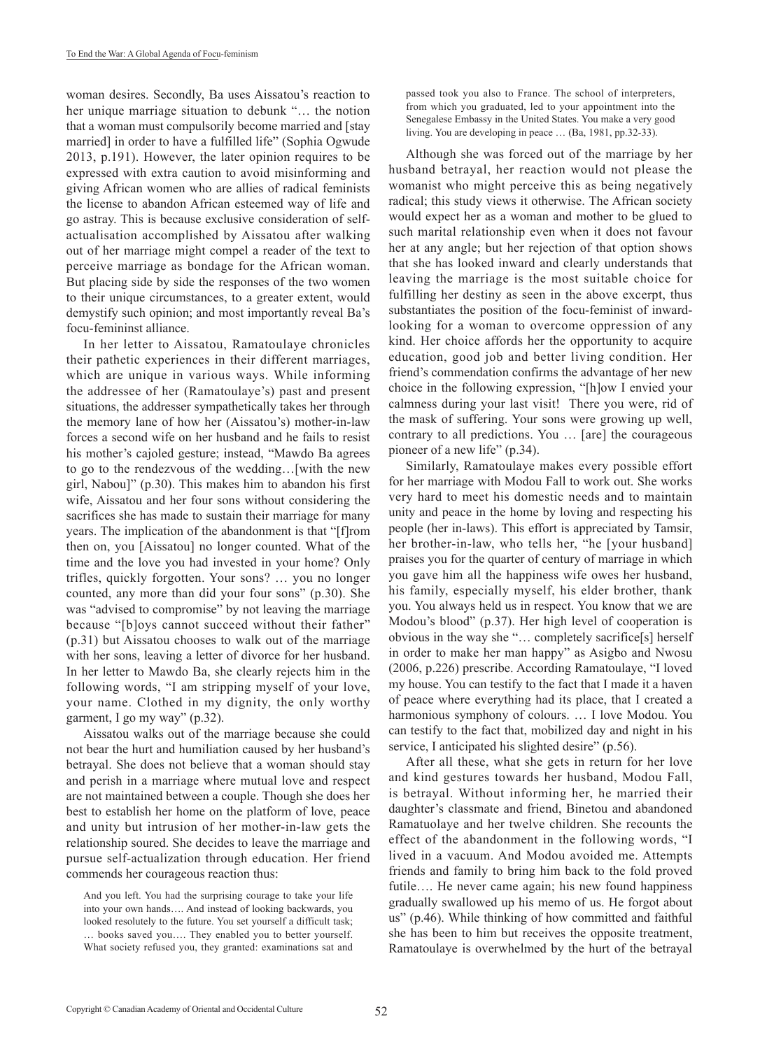woman desires. Secondly, Ba uses Aissatou's reaction to her unique marriage situation to debunk "… the notion that a woman must compulsorily become married and [stay married] in order to have a fulfilled life" (Sophia Ogwude 2013, p.191). However, the later opinion requires to be expressed with extra caution to avoid misinforming and giving African women who are allies of radical feminists the license to abandon African esteemed way of life and go astray. This is because exclusive consideration of selfactualisation accomplished by Aissatou after walking out of her marriage might compel a reader of the text to perceive marriage as bondage for the African woman. But placing side by side the responses of the two women to their unique circumstances, to a greater extent, would demystify such opinion; and most importantly reveal Ba's focu-femininst alliance.

In her letter to Aissatou, Ramatoulaye chronicles their pathetic experiences in their different marriages, which are unique in various ways. While informing the addressee of her (Ramatoulaye's) past and present situations, the addresser sympathetically takes her through the memory lane of how her (Aissatou's) mother-in-law forces a second wife on her husband and he fails to resist his mother's cajoled gesture; instead, "Mawdo Ba agrees to go to the rendezvous of the wedding…[with the new girl, Nabou]" (p.30). This makes him to abandon his first wife, Aissatou and her four sons without considering the sacrifices she has made to sustain their marriage for many years. The implication of the abandonment is that "[f]rom then on, you [Aissatou] no longer counted. What of the time and the love you had invested in your home? Only trifles, quickly forgotten. Your sons? … you no longer counted, any more than did your four sons" (p.30). She was "advised to compromise" by not leaving the marriage because "[b]oys cannot succeed without their father" (p.31) but Aissatou chooses to walk out of the marriage with her sons, leaving a letter of divorce for her husband. In her letter to Mawdo Ba, she clearly rejects him in the following words, "I am stripping myself of your love, your name. Clothed in my dignity, the only worthy garment, I go my way" (p.32).

Aissatou walks out of the marriage because she could not bear the hurt and humiliation caused by her husband's betrayal. She does not believe that a woman should stay and perish in a marriage where mutual love and respect are not maintained between a couple. Though she does her best to establish her home on the platform of love, peace and unity but intrusion of her mother-in-law gets the relationship soured. She decides to leave the marriage and pursue self-actualization through education. Her friend commends her courageous reaction thus:

And you left. You had the surprising courage to take your life into your own hands…. And instead of looking backwards, you looked resolutely to the future. You set yourself a difficult task; … books saved you…. They enabled you to better yourself. What society refused you, they granted: examinations sat and passed took you also to France. The school of interpreters, from which you graduated, led to your appointment into the Senegalese Embassy in the United States. You make a very good living. You are developing in peace … (Ba, 1981, pp.32-33).

Although she was forced out of the marriage by her husband betrayal, her reaction would not please the womanist who might perceive this as being negatively radical; this study views it otherwise. The African society would expect her as a woman and mother to be glued to such marital relationship even when it does not favour her at any angle; but her rejection of that option shows that she has looked inward and clearly understands that leaving the marriage is the most suitable choice for fulfilling her destiny as seen in the above excerpt, thus substantiates the position of the focu-feminist of inwardlooking for a woman to overcome oppression of any kind. Her choice affords her the opportunity to acquire education, good job and better living condition. Her friend's commendation confirms the advantage of her new choice in the following expression, "[h]ow I envied your calmness during your last visit! There you were, rid of the mask of suffering. Your sons were growing up well, contrary to all predictions. You … [are] the courageous pioneer of a new life" (p.34).

Similarly, Ramatoulaye makes every possible effort for her marriage with Modou Fall to work out. She works very hard to meet his domestic needs and to maintain unity and peace in the home by loving and respecting his people (her in-laws). This effort is appreciated by Tamsir, her brother-in-law, who tells her, "he [your husband] praises you for the quarter of century of marriage in which you gave him all the happiness wife owes her husband, his family, especially myself, his elder brother, thank you. You always held us in respect. You know that we are Modou's blood" (p.37). Her high level of cooperation is obvious in the way she "… completely sacrifice[s] herself in order to make her man happy" as Asigbo and Nwosu (2006, p.226) prescribe. According Ramatoulaye, "I loved my house. You can testify to the fact that I made it a haven of peace where everything had its place, that I created a harmonious symphony of colours. … I love Modou. You can testify to the fact that, mobilized day and night in his service, I anticipated his slighted desire" (p.56).

After all these, what she gets in return for her love and kind gestures towards her husband, Modou Fall, is betrayal. Without informing her, he married their daughter's classmate and friend, Binetou and abandoned Ramatuolaye and her twelve children. She recounts the effect of the abandonment in the following words, "I lived in a vacuum. And Modou avoided me. Attempts friends and family to bring him back to the fold proved futile.... He never came again; his new found happiness gradually swallowed up his memo of us. He forgot about us" (p.46). While thinking of how committed and faithful she has been to him but receives the opposite treatment, Ramatoulaye is overwhelmed by the hurt of the betrayal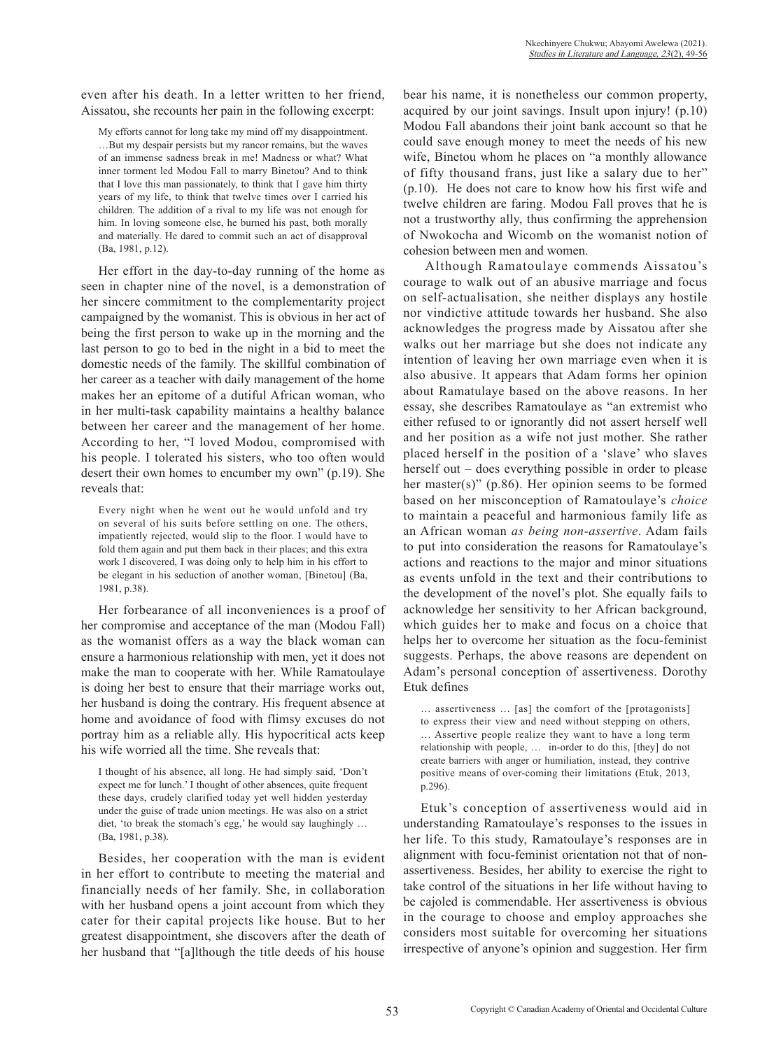even after his death. In a letter written to her friend, Aissatou, she recounts her pain in the following excerpt:

My efforts cannot for long take my mind off my disappointment. …But my despair persists but my rancor remains, but the waves of an immense sadness break in me! Madness or what? What inner torment led Modou Fall to marry Binetou? And to think that I love this man passionately, to think that I gave him thirty years of my life, to think that twelve times over I carried his children. The addition of a rival to my life was not enough for him. In loving someone else, he burned his past, both morally and materially. He dared to commit such an act of disapproval (Ba, 1981, p.12).

Her effort in the day-to-day running of the home as seen in chapter nine of the novel, is a demonstration of her sincere commitment to the complementarity project campaigned by the womanist. This is obvious in her act of being the first person to wake up in the morning and the last person to go to bed in the night in a bid to meet the domestic needs of the family. The skillful combination of her career as a teacher with daily management of the home makes her an epitome of a dutiful African woman, who in her multi-task capability maintains a healthy balance between her career and the management of her home. According to her, "I loved Modou, compromised with his people. I tolerated his sisters, who too often would desert their own homes to encumber my own" (p.19). She reveals that:

Every night when he went out he would unfold and try on several of his suits before settling on one. The others, impatiently rejected, would slip to the floor. I would have to fold them again and put them back in their places; and this extra work I discovered, I was doing only to help him in his effort to be elegant in his seduction of another woman, [Binetou] (Ba, 1981, p.38).

Her forbearance of all inconveniences is a proof of her compromise and acceptance of the man (Modou Fall) as the womanist offers as a way the black woman can ensure a harmonious relationship with men, yet it does not make the man to cooperate with her. While Ramatoulaye is doing her best to ensure that their marriage works out, her husband is doing the contrary. His frequent absence at home and avoidance of food with flimsy excuses do not portray him as a reliable ally. His hypocritical acts keep his wife worried all the time. She reveals that:

I thought of his absence, all long. He had simply said, 'Don't expect me for lunch.' I thought of other absences, quite frequent these days, crudely clarified today yet well hidden yesterday under the guise of trade union meetings. He was also on a strict diet, 'to break the stomach's egg,' he would say laughingly … (Ba, 1981, p.38).

Besides, her cooperation with the man is evident in her effort to contribute to meeting the material and financially needs of her family. She, in collaboration with her husband opens a joint account from which they cater for their capital projects like house. But to her greatest disappointment, she discovers after the death of her husband that "[a]lthough the title deeds of his house bear his name, it is nonetheless our common property, acquired by our joint savings. Insult upon injury! (p.10) Modou Fall abandons their joint bank account so that he could save enough money to meet the needs of his new wife, Binetou whom he places on "a monthly allowance of fifty thousand frans, just like a salary due to her" (p.10). He does not care to know how his first wife and twelve children are faring. Modou Fall proves that he is not a trustworthy ally, thus confirming the apprehension of Nwokocha and Wicomb on the womanist notion of cohesion between men and women.

 Although Ramatoulaye commends Aissatou's courage to walk out of an abusive marriage and focus on self-actualisation, she neither displays any hostile nor vindictive attitude towards her husband. She also acknowledges the progress made by Aissatou after she walks out her marriage but she does not indicate any intention of leaving her own marriage even when it is also abusive. It appears that Adam forms her opinion about Ramatulaye based on the above reasons. In her essay, she describes Ramatoulaye as "an extremist who either refused to or ignorantly did not assert herself well and her position as a wife not just mother. She rather placed herself in the position of a 'slave' who slaves herself out – does everything possible in order to please her master(s)" (p.86). Her opinion seems to be formed based on her misconception of Ramatoulaye's *choice* to maintain a peaceful and harmonious family life as an African woman *as being non-assertive*. Adam fails to put into consideration the reasons for Ramatoulaye's actions and reactions to the major and minor situations as events unfold in the text and their contributions to the development of the novel's plot. She equally fails to acknowledge her sensitivity to her African background, which guides her to make and focus on a choice that helps her to overcome her situation as the focu-feminist suggests. Perhaps, the above reasons are dependent on Adam's personal conception of assertiveness. Dorothy Etuk defines

… assertiveness … [as] the comfort of the [protagonists] to express their view and need without stepping on others, … Assertive people realize they want to have a long term relationship with people, … in-order to do this, [they] do not create barriers with anger or humiliation, instead, they contrive positive means of over-coming their limitations (Etuk, 2013, p.296).

Etuk's conception of assertiveness would aid in understanding Ramatoulaye's responses to the issues in her life. To this study, Ramatoulaye's responses are in alignment with focu-feminist orientation not that of nonassertiveness. Besides, her ability to exercise the right to take control of the situations in her life without having to be cajoled is commendable. Her assertiveness is obvious in the courage to choose and employ approaches she considers most suitable for overcoming her situations irrespective of anyone's opinion and suggestion. Her firm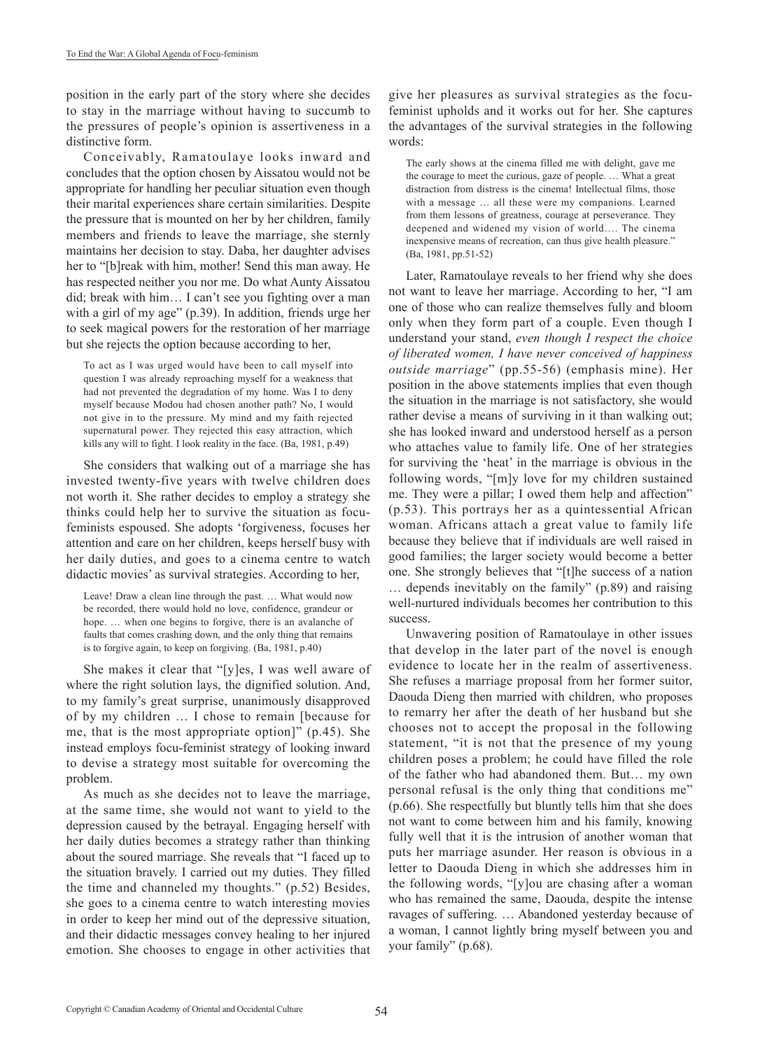position in the early part of the story where she decides to stay in the marriage without having to succumb to the pressures of people's opinion is assertiveness in a distinctive form.

Conceivably, Ramatoulaye looks inward and concludes that the option chosen by Aissatou would not be appropriate for handling her peculiar situation even though their marital experiences share certain similarities. Despite the pressure that is mounted on her by her children, family members and friends to leave the marriage, she sternly maintains her decision to stay. Daba, her daughter advises her to "[b]reak with him, mother! Send this man away. He has respected neither you nor me. Do what Aunty Aissatou did; break with him… I can't see you fighting over a man with a girl of my age" (p.39). In addition, friends urge her to seek magical powers for the restoration of her marriage but she rejects the option because according to her,

To act as I was urged would have been to call myself into question I was already reproaching myself for a weakness that had not prevented the degradation of my home. Was I to deny myself because Modou had chosen another path? No, I would not give in to the pressure. My mind and my faith rejected supernatural power. They rejected this easy attraction, which kills any will to fight. I look reality in the face. (Ba, 1981, p.49)

She considers that walking out of a marriage she has invested twenty-five years with twelve children does not worth it. She rather decides to employ a strategy she thinks could help her to survive the situation as focufeminists espoused. She adopts 'forgiveness, focuses her attention and care on her children, keeps herself busy with her daily duties, and goes to a cinema centre to watch didactic movies' as survival strategies. According to her,

Leave! Draw a clean line through the past. … What would now be recorded, there would hold no love, confidence, grandeur or hope. … when one begins to forgive, there is an avalanche of faults that comes crashing down, and the only thing that remains is to forgive again, to keep on forgiving. (Ba, 1981, p.40)

She makes it clear that "[y]es, I was well aware of where the right solution lays, the dignified solution. And, to my family's great surprise, unanimously disapproved of by my children … I chose to remain [because for me, that is the most appropriate option]" (p.45). She instead employs focu-feminist strategy of looking inward to devise a strategy most suitable for overcoming the problem.

As much as she decides not to leave the marriage, at the same time, she would not want to yield to the depression caused by the betrayal. Engaging herself with her daily duties becomes a strategy rather than thinking about the soured marriage. She reveals that "I faced up to the situation bravely. I carried out my duties. They filled the time and channeled my thoughts." (p.52) Besides, she goes to a cinema centre to watch interesting movies in order to keep her mind out of the depressive situation, and their didactic messages convey healing to her injured emotion. She chooses to engage in other activities that

give her pleasures as survival strategies as the focufeminist upholds and it works out for her. She captures the advantages of the survival strategies in the following words:

The early shows at the cinema filled me with delight, gave me the courage to meet the curious, gaze of people. … What a great distraction from distress is the cinema! Intellectual films, those with a message … all these were my companions. Learned from them lessons of greatness, courage at perseverance. They deepened and widened my vision of world…. The cinema inexpensive means of recreation, can thus give health pleasure." (Ba, 1981, pp.51-52)

Later, Ramatoulaye reveals to her friend why she does not want to leave her marriage. According to her, "I am one of those who can realize themselves fully and bloom only when they form part of a couple. Even though I understand your stand, *even though I respect the choice of liberated women, I have never conceived of happiness outside marriage*" (pp.55-56) (emphasis mine). Her position in the above statements implies that even though the situation in the marriage is not satisfactory, she would rather devise a means of surviving in it than walking out; she has looked inward and understood herself as a person who attaches value to family life. One of her strategies for surviving the 'heat' in the marriage is obvious in the following words, "[m]y love for my children sustained me. They were a pillar; I owed them help and affection" (p.53). This portrays her as a quintessential African woman. Africans attach a great value to family life because they believe that if individuals are well raised in good families; the larger society would become a better one. She strongly believes that "[t]he success of a nation … depends inevitably on the family" (p.89) and raising well-nurtured individuals becomes her contribution to this success.

Unwavering position of Ramatoulaye in other issues that develop in the later part of the novel is enough evidence to locate her in the realm of assertiveness. She refuses a marriage proposal from her former suitor, Daouda Dieng then married with children, who proposes to remarry her after the death of her husband but she chooses not to accept the proposal in the following statement, "it is not that the presence of my young children poses a problem; he could have filled the role of the father who had abandoned them. But… my own personal refusal is the only thing that conditions me" (p.66). She respectfully but bluntly tells him that she does not want to come between him and his family, knowing fully well that it is the intrusion of another woman that puts her marriage asunder. Her reason is obvious in a letter to Daouda Dieng in which she addresses him in the following words, "[y]ou are chasing after a woman who has remained the same, Daouda, despite the intense ravages of suffering. … Abandoned yesterday because of a woman, I cannot lightly bring myself between you and your family" (p.68).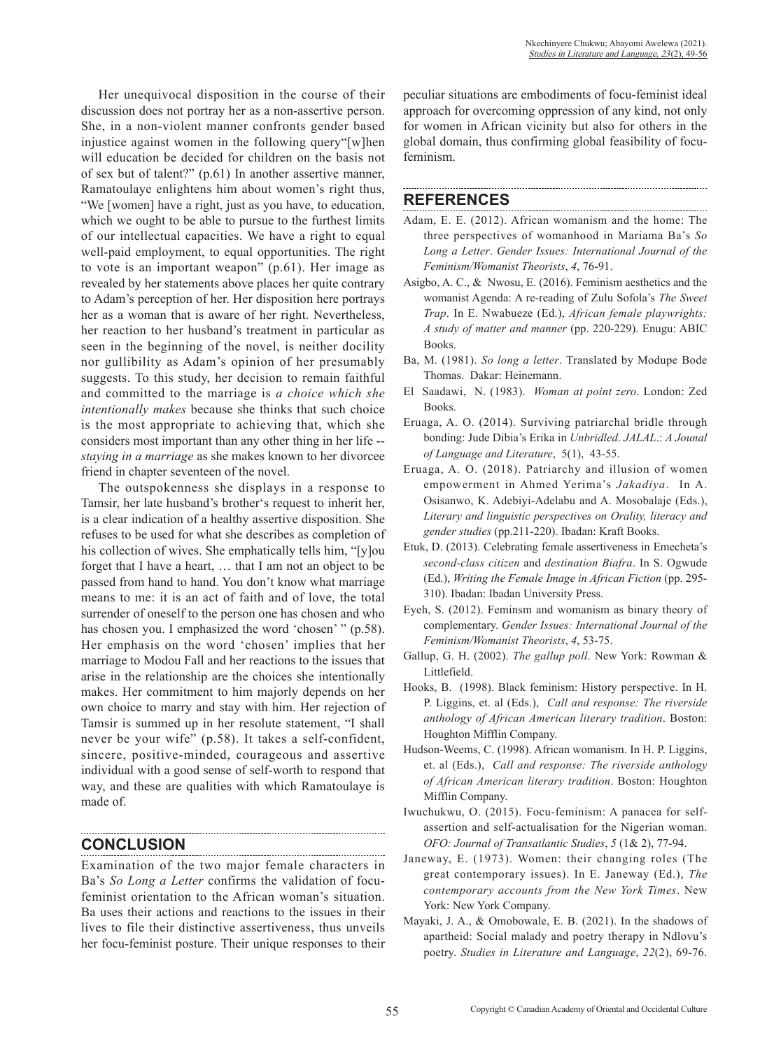Her unequivocal disposition in the course of their discussion does not portray her as a non-assertive person. She, in a non-violent manner confronts gender based injustice against women in the following query"[w]hen will education be decided for children on the basis not of sex but of talent?" (p.61) In another assertive manner, Ramatoulaye enlightens him about women's right thus, "We [women] have a right, just as you have, to education, which we ought to be able to pursue to the furthest limits of our intellectual capacities. We have a right to equal well-paid employment, to equal opportunities. The right to vote is an important weapon" (p.61). Her image as revealed by her statements above places her quite contrary to Adam's perception of her. Her disposition here portrays her as a woman that is aware of her right. Nevertheless, her reaction to her husband's treatment in particular as seen in the beginning of the novel, is neither docility nor gullibility as Adam's opinion of her presumably suggests. To this study, her decision to remain faithful and committed to the marriage is *a choice which she intentionally makes* because she thinks that such choice is the most appropriate to achieving that, which she considers most important than any other thing in her life - *staying in a marriage* as she makes known to her divorcee friend in chapter seventeen of the novel.

The outspokenness she displays in a response to Tamsir, her late husband's brother's request to inherit her, is a clear indication of a healthy assertive disposition. She refuses to be used for what she describes as completion of his collection of wives. She emphatically tells him, "[y]ou forget that I have a heart, … that I am not an object to be passed from hand to hand. You don't know what marriage means to me: it is an act of faith and of love, the total surrender of oneself to the person one has chosen and who has chosen you. I emphasized the word 'chosen' " (p.58). Her emphasis on the word 'chosen' implies that her marriage to Modou Fall and her reactions to the issues that arise in the relationship are the choices she intentionally makes. Her commitment to him majorly depends on her own choice to marry and stay with him. Her rejection of Tamsir is summed up in her resolute statement, "I shall never be your wife" (p.58). It takes a self-confident, sincere, positive-minded, courageous and assertive individual with a good sense of self-worth to respond that way, and these are qualities with which Ramatoulaye is made of.

### **CONCLUSION**

Examination of the two major female characters in Ba's *So Long a Letter* confirms the validation of focufeminist orientation to the African woman's situation. Ba uses their actions and reactions to the issues in their lives to file their distinctive assertiveness, thus unveils her focu-feminist posture. Their unique responses to their

peculiar situations are embodiments of focu-feminist ideal approach for overcoming oppression of any kind, not only for women in African vicinity but also for others in the global domain, thus confirming global feasibility of focufeminism.

### **REFERENCES**

- Adam, E. E. (2012). African womanism and the home: The three perspectives of womanhood in Mariama Ba's *So Long a Letter*. *Gender Issues: International Journal of the Feminism/Womanist Theorists*, *4*, 76-91.
- Asigbo, A. C., & Nwosu, E. (2016). Feminism aesthetics and the womanist Agenda: A re-reading of Zulu Sofola's *The Sweet Trap*. In E. Nwabueze (Ed.), *African female playwrights: A study of matter and manner* (pp. 220-229). Enugu: ABIC Books.
- Ba, M. (1981). *So long a letter*. Translated by Modupe Bode Thomas. Dakar: Heinemann.
- El Saadawi, N. (1983). *Woman at point zero*. London: Zed Books.
- Eruaga, A. O. (2014). Surviving patriarchal bridle through bonding: Jude Dibia's Erika in *Unbridled*. *JALAL*.: *A Jounal of Language and Literature*, 5(1), 43-55.
- Eruaga, A. O. (2018). Patriarchy and illusion of women empowerment in Ahmed Yerima's *Jakadiya*. In A. Osisanwo, K. Adebiyi-Adelabu and A. Mosobalaje (Eds.), *Literary and linguistic perspectives on Orality, literacy and gender studies* (pp.211-220). Ibadan: Kraft Books.
- Etuk, D. (2013). Celebrating female assertiveness in Emecheta's *second-class citizen* and *destination Biafra*. In S. Ogwude (Ed.), *Writing the Female Image in African Fiction* (pp. 295- 310). Ibadan: Ibadan University Press.
- Eyeh, S. (2012). Feminsm and womanism as binary theory of complementary. *Gender Issues: International Journal of the Feminism/Womanist Theorists*, *4*, 53-75.
- Gallup, G. H. (2002). *The gallup poll*. New York: Rowman & Littlefield.
- Hooks, B. (1998). Black feminism: History perspective. In H. P. Liggins, et. al (Eds.), *Call and response: The riverside anthology of African American literary tradition*. Boston: Houghton Mifflin Company.
- Hudson-Weems, C. (1998). African womanism. In H. P. Liggins, et. al (Eds.), *Call and response: The riverside anthology of African American literary tradition*. Boston: Houghton Mifflin Company.
- Iwuchukwu, O. (2015). Focu-feminism: A panacea for selfassertion and self-actualisation for the Nigerian woman. *OFO: Journal of Transatlantic Studies*, *5* (1& 2), 77-94.
- Janeway, E. (1973). Women: their changing roles (The great contemporary issues). In E. Janeway (Ed.), *The contemporary accounts from the New York Times*. New York: New York Company.
- Mayaki, J. A., & Omobowale, E. B. (2021). In the shadows of apartheid: Social malady and poetry therapy in Ndlovu's poetry. *Studies in Literature and Language*, *22*(2), 69-76.